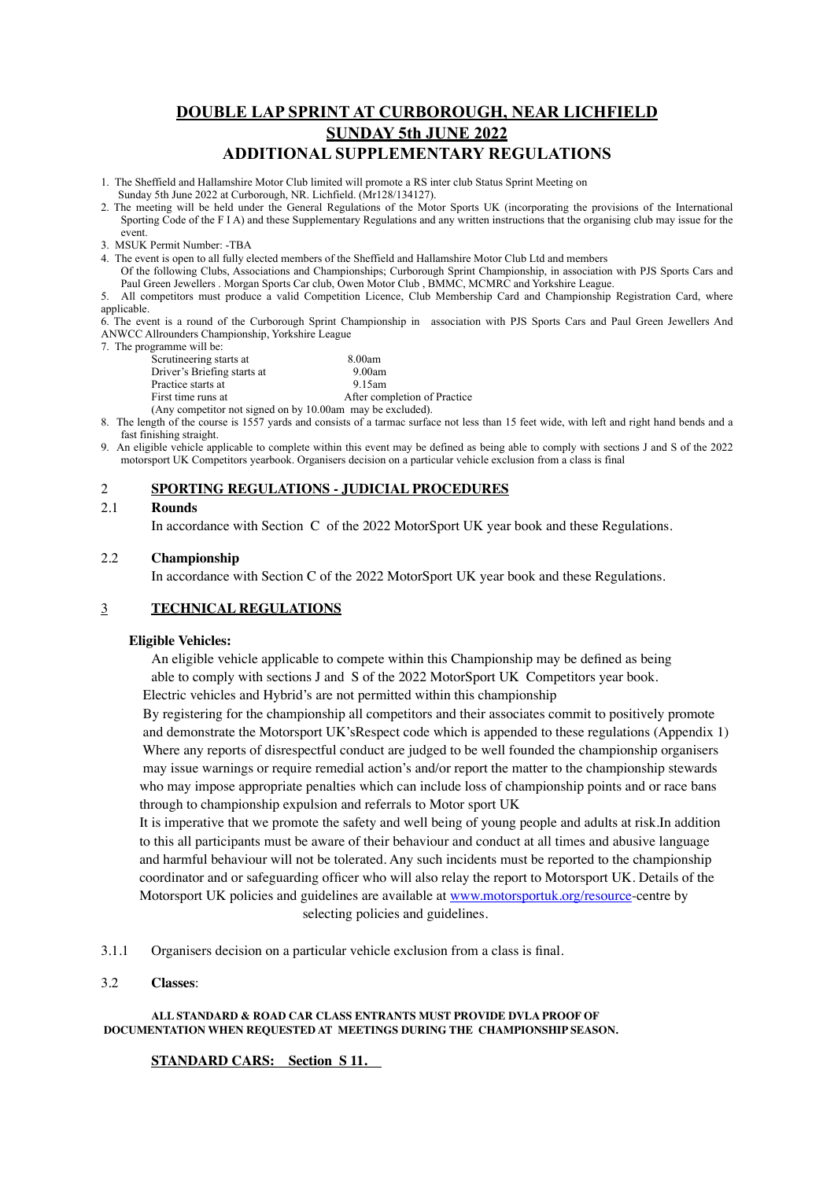# **DOUBLE LAP SPRINT AT CURBOROUGH, NEAR LICHFIELD SUNDAY 5th JUNE 2022 ADDITIONAL SUPPLEMENTARY REGULATIONS**

- 1. The Sheffield and Hallamshire Motor Club limited will promote a RS inter club Status Sprint Meeting on Sunday 5th June 2022 at Curborough, NR. Lichfield. (Mr128/134127).
- 2. The meeting will be held under the General Regulations of the Motor Sports UK (incorporating the provisions of the International Sporting Code of the F I A) and these Supplementary Regulations and any written instructions that the organising club may issue for the event.
- 3. MSUK Permit Number: -TBA

4. The event is open to all fully elected members of the Sheffield and Hallamshire Motor Club Ltd and members

Of the following Clubs, Associations and Championships; Curborough Sprint Championship, in association with PJS Sports Cars and Paul Green Jewellers . Morgan Sports Car club, Owen Motor Club , BMMC, MCMRC and Yorkshire League.

5. All competitors must produce a valid Competition Licence, Club Membership Card and Championship Registration Card, where applicable.

6. The event is a round of the Curborough Sprint Championship in association with PJS Sports Cars and Paul Green Jewellers And ANWCC Allrounders Championship, Yorkshire League

7. The programme will be:

| Ugiannic while.                                            |                              |
|------------------------------------------------------------|------------------------------|
| Scrutineering starts at                                    | 8.00am                       |
| Driver's Briefing starts at                                | 9.00am                       |
| Practice starts at                                         | 9.15am                       |
| First time runs at                                         | After completion of Practice |
| (Any competitor not signed on by 10.00am may be excluded). |                              |

8. The length of the course is 1557 yards and consists of a tarmac surface not less than 15 feet wide, with left and right hand bends and a fast finishing straight.

9. An eligible vehicle applicable to complete within this event may be defined as being able to comply with sections J and S of the 2022 motorsport UK Competitors yearbook. Organisers decision on a particular vehicle exclusion from a class is final

## 2 **SPORTING REGULATIONS - JUDICIAL PROCEDURES**

## 2.1 **Rounds**

In accordance with Section C of the 2022 MotorSport UK year book and these Regulations.

## 2.2 **Championship**

In accordance with Section C of the 2022 MotorSport UK year book and these Regulations.

## 3 **TECHNICAL REGULATIONS**

## **Eligible Vehicles:**

An eligible vehicle applicable to compete within this Championship may be defined as being able to comply with sections J and S of the 2022 MotorSport UK Competitors year book. Electric vehicles and Hybrid's are not permitted within this championship

 By registering for the championship all competitors and their associates commit to positively promote and demonstrate the Motorsport UK'sRespect code which is appended to these regulations (Appendix 1) Where any reports of disrespectful conduct are judged to be well founded the championship organisers may issue warnings or require remedial action's and/or report the matter to the championship stewards who may impose appropriate penalties which can include loss of championship points and or race bans through to championship expulsion and referrals to Motor sport UK

 It is imperative that we promote the safety and well being of young people and adults at risk.In addition to this all participants must be aware of their behaviour and conduct at all times and abusive language and harmful behaviour will not be tolerated. Any such incidents must be reported to the championship coordinator and or safeguarding officer who will also relay the report to Motorsport UK. Details of the Motorsport UK policies and guidelines are available at [www.motorsportuk.org/resource-](http://www.motorsportuk.org/resource)centre by selecting policies and guidelines.

- 3.1.1 Organisers decision on a particular vehicle exclusion from a class is final.
- 3.2 **Classes**:

**ALL STANDARD & ROAD CAR CLASS ENTRANTS MUST PROVIDE DVLA PROOF OF DOCUMENTATION WHEN REQUESTED AT MEETINGS DURING THE CHAMPIONSHIP SEASON.**

## **STANDARD CARS: Section S 11.**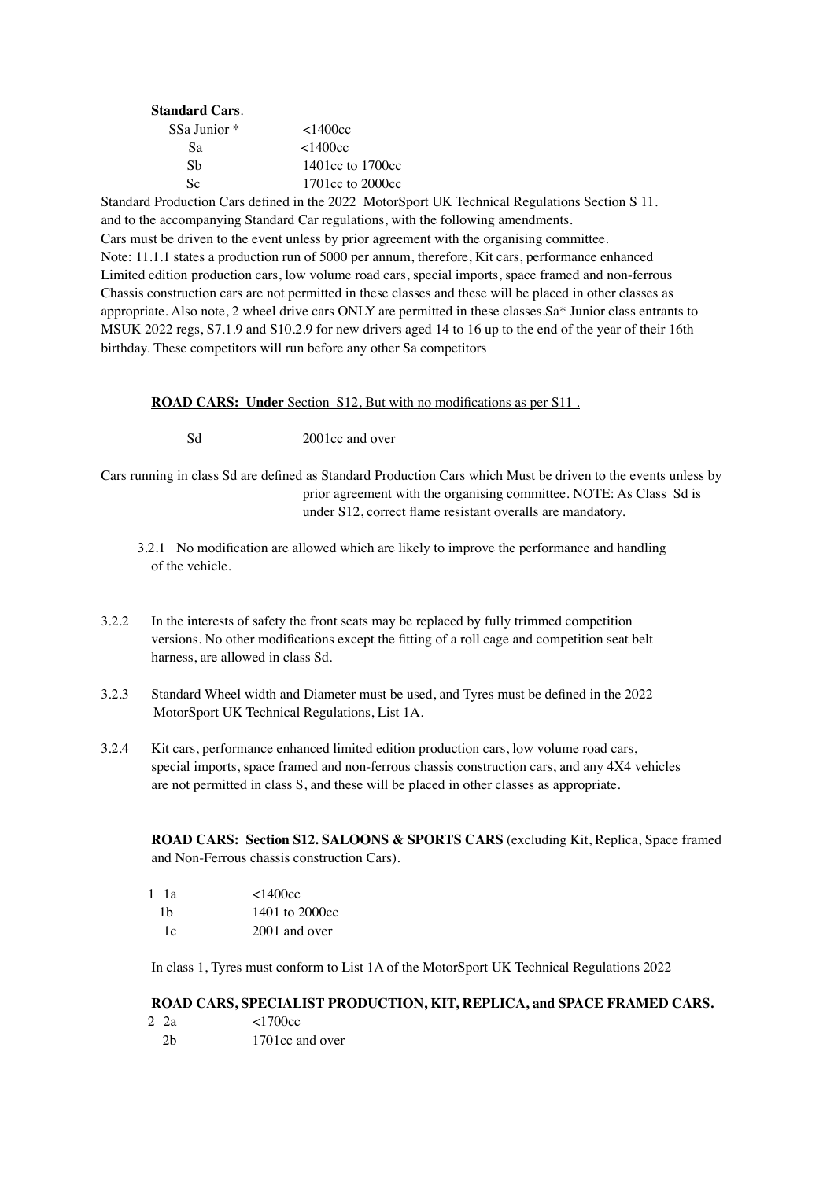| <b>Standard Cars.</b>   |                    |
|-------------------------|--------------------|
| SSa Junior <sup>*</sup> | $<$ 1400 $<$ c     |
| Sа                      | <1400cc            |
| Sb                      | 1401 cc to 1700 cc |
| Sc                      | 1701 cc to 2000 cc |

Standard Production Cars defined in the 2022 MotorSport UK Technical Regulations Section S 11. and to the accompanying Standard Car regulations, with the following amendments. Cars must be driven to the event unless by prior agreement with the organising committee. Note: 11.1.1 states a production run of 5000 per annum, therefore, Kit cars, performance enhanced Limited edition production cars, low volume road cars, special imports, space framed and non-ferrous Chassis construction cars are not permitted in these classes and these will be placed in other classes as appropriate. Also note, 2 wheel drive cars ONLY are permitted in these classes.Sa\* Junior class entrants to MSUK 2022 regs, S7.1.9 and S10.2.9 for new drivers aged 14 to 16 up to the end of the year of their 16th birthday. These competitors will run before any other Sa competitors

**ROAD CARS: Under** Section S12, But with no modifications as per S11 .

Sd 2001cc and over

Cars running in class Sd are defined as Standard Production Cars which Must be driven to the events unless by prior agreement with the organising committee. NOTE: As Class Sd is under S12, correct flame resistant overalls are mandatory.

- 3.2.1 No modification are allowed which are likely to improve the performance and handling of the vehicle.
- 3.2.2 In the interests of safety the front seats may be replaced by fully trimmed competition versions. No other modifications except the fitting of a roll cage and competition seat belt harness, are allowed in class Sd.
- 3.2.3 Standard Wheel width and Diameter must be used, and Tyres must be defined in the 2022 MotorSport UK Technical Regulations, List 1A.
- 3.2.4 Kit cars, performance enhanced limited edition production cars, low volume road cars, special imports, space framed and non-ferrous chassis construction cars, and any 4X4 vehicles are not permitted in class S, and these will be placed in other classes as appropriate.

**ROAD CARS: Section S12. SALOONS & SPORTS CARS** (excluding Kit, Replica, Space framed and Non-Ferrous chassis construction Cars).

| $1 \; 1a$ | $<$ 1400 $<$ c $<$ |  |
|-----------|--------------------|--|
| 1b        | 1401 to 2000cc     |  |
| 1c        | 2001 and over      |  |

In class 1, Tyres must conform to List 1A of the MotorSport UK Technical Regulations 2022

# **ROAD CARS, SPECIALIST PRODUCTION, KIT, REPLICA, and SPACE FRAMED CARS.**

2 2a <1700cc 2b 1701cc and over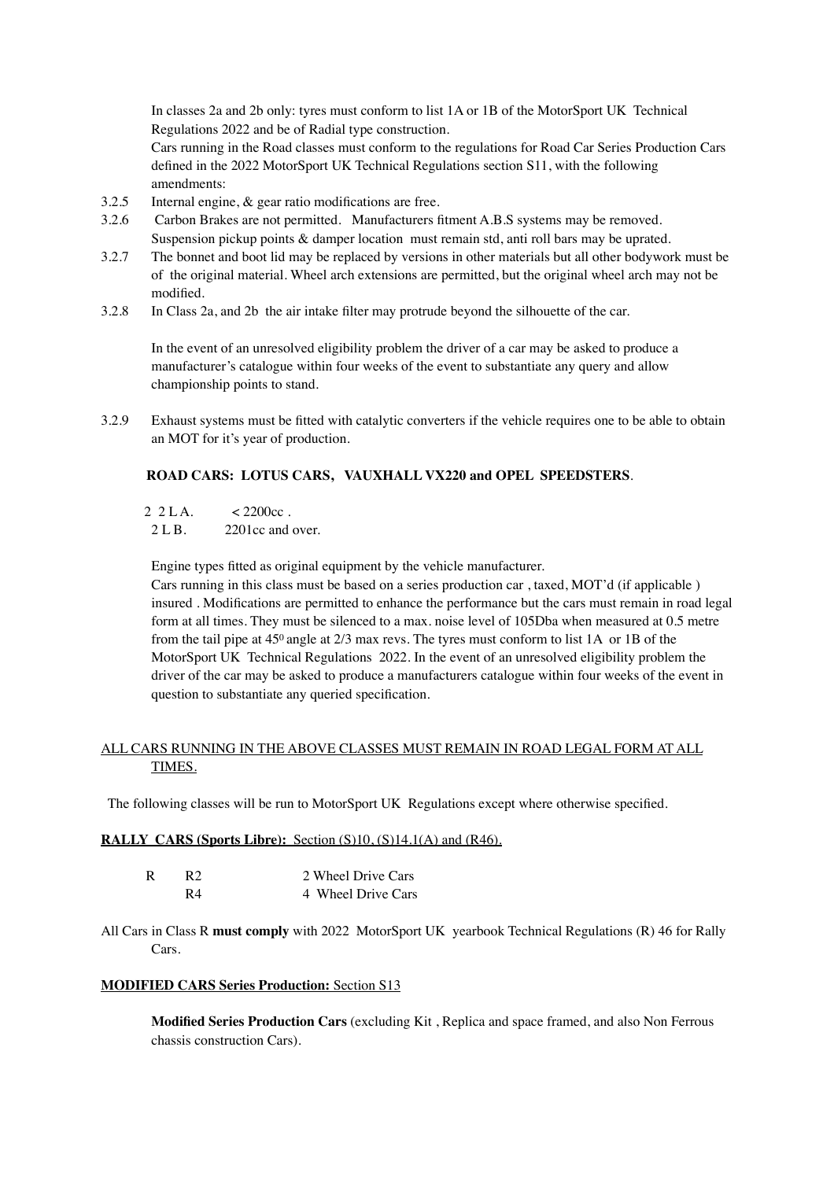In classes 2a and 2b only: tyres must conform to list 1A or 1B of the MotorSport UK Technical Regulations 2022 and be of Radial type construction.

Cars running in the Road classes must conform to the regulations for Road Car Series Production Cars defined in the 2022 MotorSport UK Technical Regulations section S11, with the following amendments:

- 3.2.5 Internal engine, & gear ratio modifications are free.
- 3.2.6 Carbon Brakes are not permitted. Manufacturers fitment A.B.S systems may be removed. Suspension pickup points & damper location must remain std, anti roll bars may be uprated.
- 3.2.7 The bonnet and boot lid may be replaced by versions in other materials but all other bodywork must be of the original material. Wheel arch extensions are permitted, but the original wheel arch may not be modified.
- 3.2.8 In Class 2a, and 2b the air intake filter may protrude beyond the silhouette of the car.

In the event of an unresolved eligibility problem the driver of a car may be asked to produce a manufacturer's catalogue within four weeks of the event to substantiate any query and allow championship points to stand.

3.2.9 Exhaust systems must be fitted with catalytic converters if the vehicle requires one to be able to obtain an MOT for it's year of production.

# **ROAD CARS: LOTUS CARS, VAUXHALL VX220 and OPEL SPEEDSTERS**.

- $2 \text{ } 2 \text{ } L \text{ A.}$   $\leq 2200 \text{ } \text{ } c.$
- 2 L B. 2201cc and over.

Engine types fitted as original equipment by the vehicle manufacturer.

Cars running in this class must be based on a series production car , taxed, MOT'd (if applicable ) insured . Modifications are permitted to enhance the performance but the cars must remain in road legal form at all times. They must be silenced to a max. noise level of 105Dba when measured at 0.5 metre from the tail pipe at 450 angle at 2/3 max revs. The tyres must conform to list 1A or 1B of the MotorSport UK Technical Regulations 2022. In the event of an unresolved eligibility problem the driver of the car may be asked to produce a manufacturers catalogue within four weeks of the event in question to substantiate any queried specification.

# ALL CARS RUNNING IN THE ABOVE CLASSES MUST REMAIN IN ROAD LEGAL FORM AT ALL TIMES.

The following classes will be run to MotorSport UK Regulations except where otherwise specified.

## **RALLY CARS (Sports Libre):** Section (S)10, (S)14.1(A) and (R46).

| R | R2 | 2 Wheel Drive Cars |
|---|----|--------------------|
|   | R4 | 4 Wheel Drive Cars |

All Cars in Class R **must comply** with 2022 MotorSport UK yearbook Technical Regulations (R) 46 for Rally Cars.

## **MODIFIED CARS Series Production:** Section S13

**Modified Series Production Cars** (excluding Kit , Replica and space framed, and also Non Ferrous chassis construction Cars).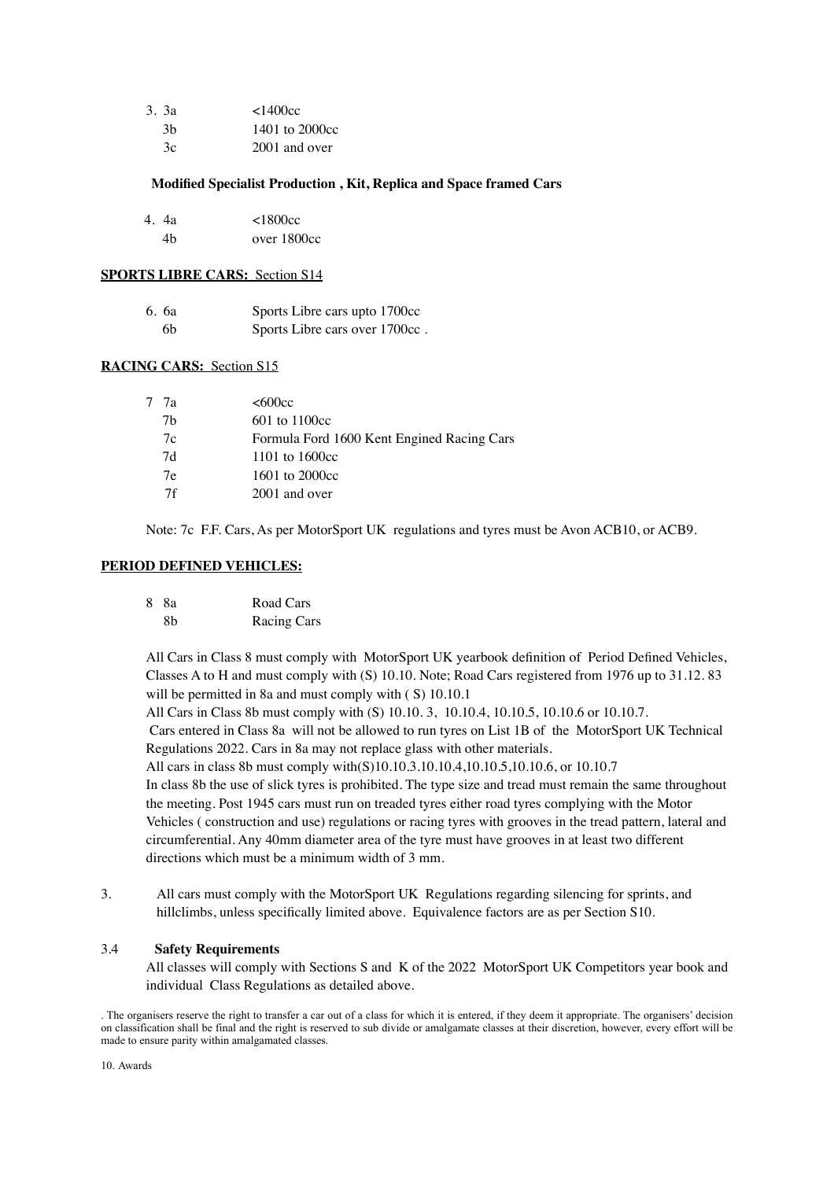| 3.3a | <1400cc        |
|------|----------------|
| 3h   | 1401 to 2000cc |
| Зc   | 2001 and over  |

#### **Modified Specialist Production , Kit, Replica and Space framed Cars**

| 4. 4a | ${<}1800cc$ |
|-------|-------------|
| 4h    | over 1800cc |

#### **SPORTS LIBRE CARS:** Section S14

| 6. 6a | Sports Libre cars upto 1700cc  |
|-------|--------------------------------|
| 6b    | Sports Libre cars over 1700cc. |

# **RACING CARS:** Section S15

| 77a | <600cc                                     |
|-----|--------------------------------------------|
| 7h  | $601$ to 1100cc                            |
| 7c  | Formula Ford 1600 Kent Engined Racing Cars |
| 7d  | 1101 to $1600cc$                           |
| 7e  | 1601 to 2000cc                             |
| 7f  | 2001 and over                              |

Note: 7c F.F. Cars, As per MotorSport UK regulations and tyres must be Avon ACB10, or ACB9.

#### **PERIOD DEFINED VEHICLES:**

| 8 8a | Road Cars   |
|------|-------------|
| 8b   | Racing Cars |

All Cars in Class 8 must comply with MotorSport UK yearbook definition of Period Defined Vehicles, Classes A to H and must comply with (S) 10.10. Note; Road Cars registered from 1976 up to 31.12. 83 will be permitted in 8a and must comply with (S) 10.10.1

All Cars in Class 8b must comply with (S) 10.10. 3, 10.10.4, 10.10.5, 10.10.6 or 10.10.7.

 Cars entered in Class 8a will not be allowed to run tyres on List 1B of the MotorSport UK Technical Regulations 2022. Cars in 8a may not replace glass with other materials.

All cars in class 8b must comply with(S)10.10.3.10.10.4,10.10.5,10.10.6, or 10.10.7

In class 8b the use of slick tyres is prohibited. The type size and tread must remain the same throughout the meeting. Post 1945 cars must run on treaded tyres either road tyres complying with the Motor Vehicles ( construction and use) regulations or racing tyres with grooves in the tread pattern, lateral and circumferential. Any 40mm diameter area of the tyre must have grooves in at least two different directions which must be a minimum width of 3 mm.

3. All cars must comply with the MotorSport UK Regulations regarding silencing for sprints, and hillclimbs, unless specifically limited above. Equivalence factors are as per Section S10.

#### 3.4 **Safety Requirements**

All classes will comply with Sections S and K of the 2022 MotorSport UK Competitors year book and individual Class Regulations as detailed above.

<sup>.</sup> The organisers reserve the right to transfer a car out of a class for which it is entered, if they deem it appropriate. The organisers' decision on classification shall be final and the right is reserved to sub divide or amalgamate classes at their discretion, however, every effort will be made to ensure parity within amalgamated classes.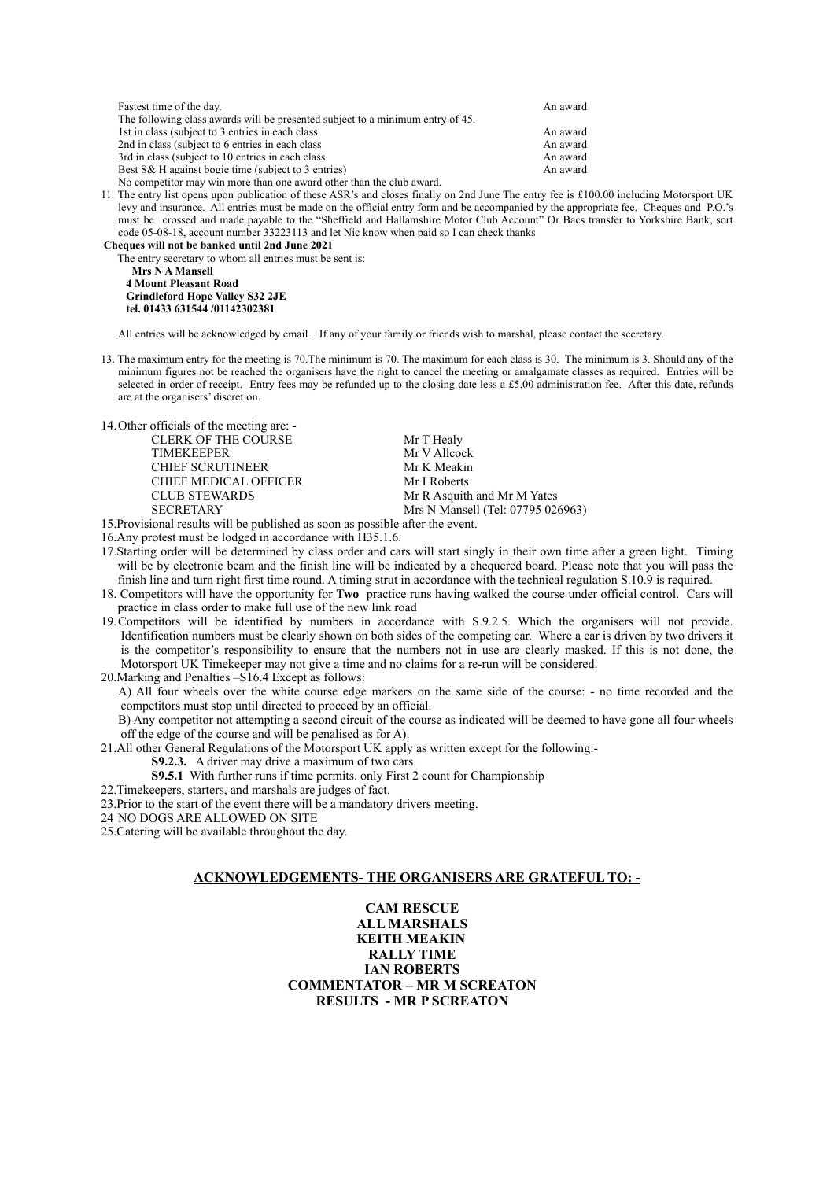| Fastest time of the day.                                                       | An award |
|--------------------------------------------------------------------------------|----------|
| The following class awards will be presented subject to a minimum entry of 45. |          |
| 1st in class (subject to 3 entries in each class)                              | An award |
| 2nd in class (subject to 6 entries in each class)                              | An award |
| 3rd in class (subject to 10 entries in each class)                             | An award |
| Best S& H against bogie time (subject to 3 entries)                            | An award |
| No competitor may win more than one award other than the club award.           |          |

11. The entry list opens upon publication of these ASR's and closes finally on 2nd June The entry fee is £100.00 including Motorsport UK levy and insurance. All entries must be made on the official entry form and be accompanied by the appropriate fee. Cheques and P.O.'s must be crossed and made payable to the "Sheffield and Hallamshire Motor Club Account" Or Bacs transfer to Yorkshire Bank, sort code 05-08-18, account number 33223113 and let Nic know when paid so I can check thanks

**Cheques will not be banked until 2nd June 2021** The entry secretary to whom all entries must be sent is:

 **Mrs N A Mansell 4 Mount Pleasant Road Grindleford Hope Valley S32 2JE tel. 01433 631544 /01142302381** 

All entries will be acknowledged by email . If any of your family or friends wish to marshal, please contact the secretary.

13. The maximum entry for the meeting is 70.The minimum is 70. The maximum for each class is 30. The minimum is 3. Should any of the minimum figures not be reached the organisers have the right to cancel the meeting or amalgamate classes as required. Entries will be selected in order of receipt. Entry fees may be refunded up to the closing date less a £5.00 administration fee. After this date, refunds are at the organisers' discretion.

14.Other officials of the meeting are: -

CLERK OF THE COURSE Mr T Healy<br>TIMEKEEPER Mr V Allcoc CHIEF SCRUTINEER Mr K Meakin<br>
CHIEF MEDICAL OFFICER Mr I Roberts CHIEF MEDICAL OFFICER

Mr V Allcock<br>Mr K Meakin CLUB STEWARDS Mr R Asquith and Mr M Yates SECRETARY Mrs N Mansell (Tel: 07795 026963)

15.Provisional results will be published as soon as possible after the event. 16.Any protest must be lodged in accordance with H35.1.6.

- 17.Starting order will be determined by class order and cars will start singly in their own time after a green light. Timing will be by electronic beam and the finish line will be indicated by a chequered board. Please note that you will pass the finish line and turn right first time round. A timing strut in accordance with the technical regulation S.10.9 is required.
- 18. Competitors will have the opportunity for **Two** practice runs having walked the course under official control. Cars will practice in class order to make full use of the new link road
- 19.Competitors will be identified by numbers in accordance with S.9.2.5. Which the organisers will not provide. Identification numbers must be clearly shown on both sides of the competing car. Where a car is driven by two drivers it is the competitor's responsibility to ensure that the numbers not in use are clearly masked. If this is not done, the Motorsport UK Timekeeper may not give a time and no claims for a re-run will be considered.
- 20.Marking and Penalties –S16.4 Except as follows:

A) All four wheels over the white course edge markers on the same side of the course: - no time recorded and the competitors must stop until directed to proceed by an official.

B) Any competitor not attempting a second circuit of the course as indicated will be deemed to have gone all four wheels off the edge of the course and will be penalised as for A).

21.All other General Regulations of the Motorsport UK apply as written except for the following:-

- **S9.2.3.** A driver may drive a maximum of two cars.
- **S9.5.1** With further runs if time permits, only First 2 count for Championship
- 22.Timekeepers, starters, and marshals are judges of fact.
- 23.Prior to the start of the event there will be a mandatory drivers meeting.
- 24 NO DOGS ARE ALLOWED ON SITE
- 25.Catering will be available throughout the day.

#### **ACKNOWLEDGEMENTS- THE ORGANISERS ARE GRATEFUL TO: -**

#### **CAM RESCUE ALL MARSHALS KEITH MEAKIN RALLY TIME IAN ROBERTS COMMENTATOR – MR M SCREATON RESULTS - MR P SCREATON**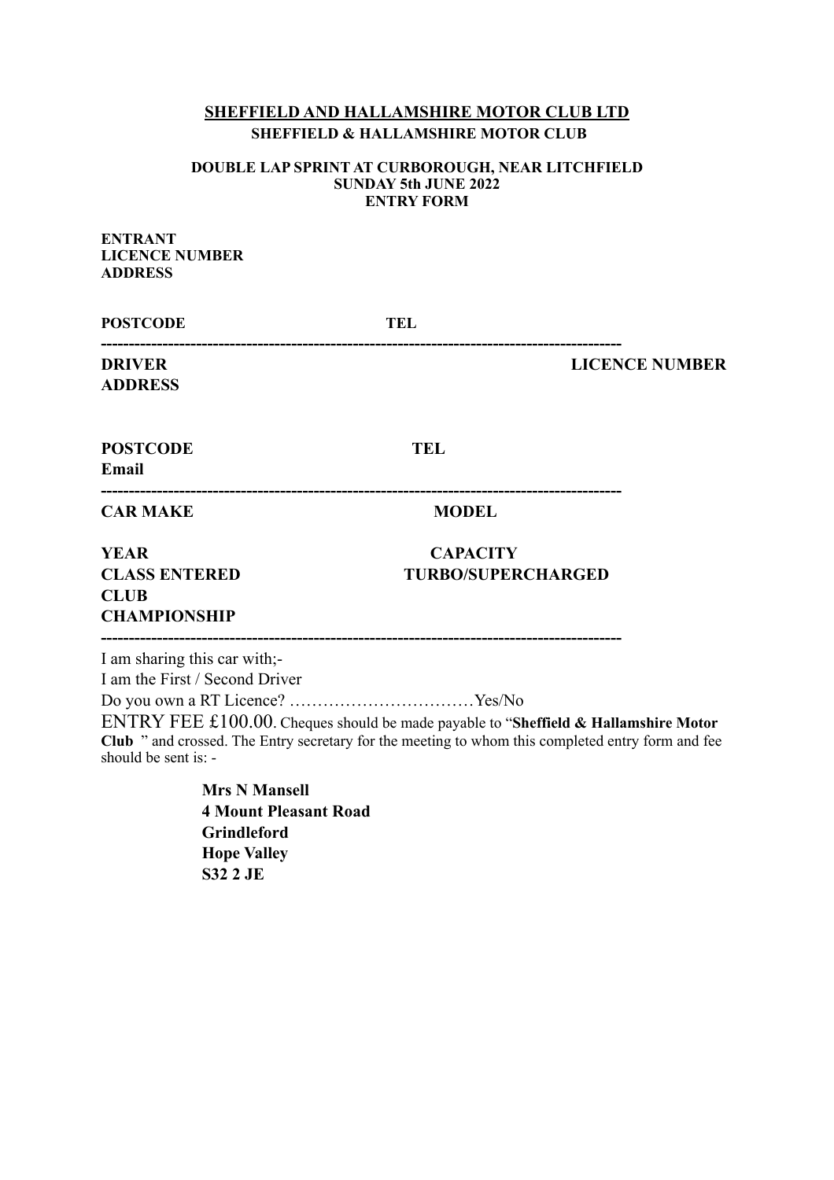# **SHEFFIELD AND HALLAMSHIRE MOTOR CLUB LTD SHEFFIELD & HALLAMSHIRE MOTOR CLUB**

# **DOUBLE LAP SPRINT AT CURBOROUGH, NEAR LITCHFIELD SUNDAY 5th JUNE 2022 ENTRY FORM**

| <b>ENTRANT</b><br><b>LICENCE NUMBER</b><br><b>ADDRESS</b>                                      |                                                                                                                                                                                           |                       |
|------------------------------------------------------------------------------------------------|-------------------------------------------------------------------------------------------------------------------------------------------------------------------------------------------|-----------------------|
| <b>POSTCODE</b>                                                                                | TEL                                                                                                                                                                                       |                       |
| <b>DRIVER</b><br><b>ADDRESS</b>                                                                |                                                                                                                                                                                           | <b>LICENCE NUMBER</b> |
| <b>POSTCODE</b><br>Email                                                                       | <b>TEL</b>                                                                                                                                                                                |                       |
| <b>CAR MAKE</b>                                                                                | <b>MODEL</b>                                                                                                                                                                              |                       |
| <b>YEAR</b><br><b>CLASS ENTERED</b><br><b>CLUB</b><br><b>CHAMPIONSHIP</b>                      | <b>CAPACITY</b><br><b>TURBO/SUPERCHARGED</b>                                                                                                                                              |                       |
| I am sharing this car with;-<br>I am the First / Second Driver<br>should be sent is: -         | ENTRY FEE £100.00. Cheques should be made payable to "Sheffield & Hallamshire Motor"<br>Club " and crossed. The Entry secretary for the meeting to whom this completed entry form and fee |                       |
| <b>Mrs N Mansell</b><br><b>4 Mount Pleasant Road</b><br>$C$ <sub>windla</sub> $c_{\text{end}}$ |                                                                                                                                                                                           |                       |

**Grindleford Hope Valley S32 2 JE**